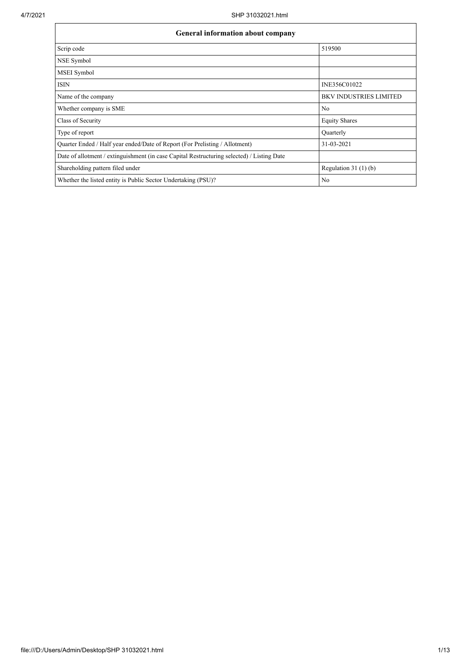| General information about company                                                          |                               |  |  |  |  |  |  |
|--------------------------------------------------------------------------------------------|-------------------------------|--|--|--|--|--|--|
| Scrip code                                                                                 | 519500                        |  |  |  |  |  |  |
| NSE Symbol                                                                                 |                               |  |  |  |  |  |  |
| MSEI Symbol                                                                                |                               |  |  |  |  |  |  |
| <b>ISIN</b>                                                                                | INE356C01022                  |  |  |  |  |  |  |
| Name of the company                                                                        | <b>BKV INDUSTRIES LIMITED</b> |  |  |  |  |  |  |
| Whether company is SME                                                                     | No                            |  |  |  |  |  |  |
| Class of Security                                                                          | <b>Equity Shares</b>          |  |  |  |  |  |  |
| Type of report                                                                             | Quarterly                     |  |  |  |  |  |  |
| Quarter Ended / Half year ended/Date of Report (For Prelisting / Allotment)                | 31-03-2021                    |  |  |  |  |  |  |
| Date of allotment / extinguishment (in case Capital Restructuring selected) / Listing Date |                               |  |  |  |  |  |  |
| Shareholding pattern filed under                                                           | Regulation $31(1)(b)$         |  |  |  |  |  |  |
| Whether the listed entity is Public Sector Undertaking (PSU)?                              | No                            |  |  |  |  |  |  |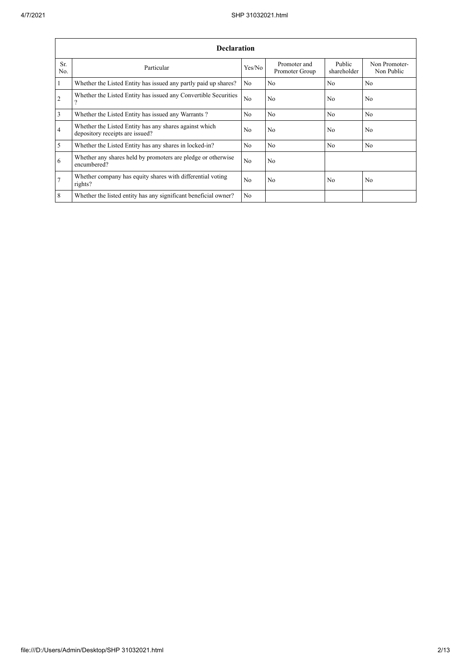|                | <b>Declaration</b>                                                                          |                |                                |                       |                             |  |  |  |  |  |
|----------------|---------------------------------------------------------------------------------------------|----------------|--------------------------------|-----------------------|-----------------------------|--|--|--|--|--|
| Sr.<br>No.     | Particular                                                                                  | Yes/No         | Promoter and<br>Promoter Group | Public<br>shareholder | Non Promoter-<br>Non Public |  |  |  |  |  |
| $\mathbf{1}$   | Whether the Listed Entity has issued any partly paid up shares?                             | N <sub>o</sub> | No                             | N <sub>0</sub>        | N <sub>o</sub>              |  |  |  |  |  |
| 2              | Whether the Listed Entity has issued any Convertible Securities<br>$\overline{\phantom{a}}$ | N <sub>o</sub> | No                             | N <sub>0</sub>        | No                          |  |  |  |  |  |
| $\overline{3}$ | Whether the Listed Entity has issued any Warrants?                                          | N <sub>0</sub> | N <sub>0</sub>                 | N <sub>0</sub>        | No                          |  |  |  |  |  |
| $\overline{4}$ | Whether the Listed Entity has any shares against which<br>depository receipts are issued?   | N <sub>0</sub> | No                             | N <sub>0</sub>        | N <sub>0</sub>              |  |  |  |  |  |
| 5              | Whether the Listed Entity has any shares in locked-in?                                      | N <sub>o</sub> | No                             | No                    | N <sub>o</sub>              |  |  |  |  |  |
| 6              | Whether any shares held by promoters are pledge or otherwise<br>encumbered?                 | No             | No                             |                       |                             |  |  |  |  |  |
| $\overline{7}$ | Whether company has equity shares with differential voting<br>rights?                       | N <sub>o</sub> | No                             | No                    | No                          |  |  |  |  |  |
| 8              | Whether the listed entity has any significant beneficial owner?                             | N <sub>o</sub> |                                |                       |                             |  |  |  |  |  |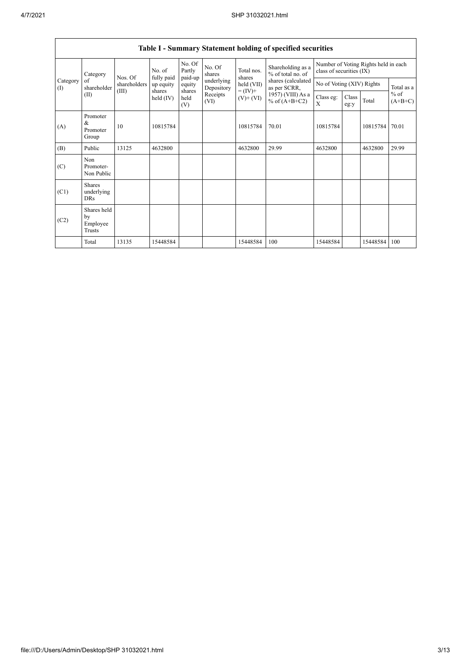$\mathsf{L}$ 

|                 | <b>Table I - Summary Statement holding of specified securities</b> |              |                      |                             |                          |                              |                                        |                                                                  |               |          |                     |
|-----------------|--------------------------------------------------------------------|--------------|----------------------|-----------------------------|--------------------------|------------------------------|----------------------------------------|------------------------------------------------------------------|---------------|----------|---------------------|
| Category        |                                                                    | Nos. Of      | No. of<br>fully paid | No. Of<br>Partly<br>paid-up | No. Of<br>shares         | Total nos.<br>shares         | Shareholding as a<br>% of total no. of | Number of Voting Rights held in each<br>class of securities (IX) |               |          |                     |
| Category<br>(1) | of<br>shareholder                                                  | shareholders | up equity            | equity                      | underlying<br>Depository | held (VII)                   | shares (calculated<br>as per SCRR,     | No of Voting (XIV) Rights                                        |               |          | Total as a          |
|                 | (II)                                                               | (III)        | shares<br>held (IV)  | shares<br>held<br>(V)       | Receipts<br>(VI)         | $= (IV) +$<br>$(V)$ + $(VI)$ | 1957) (VIII) As a<br>% of $(A+B+C2)$   | Class eg:<br>X                                                   | Class<br>eg:y | Total    | $%$ of<br>$(A+B+C)$ |
| (A)             | Promoter<br>&<br>Promoter<br>Group                                 | 10           | 10815784             |                             |                          | 10815784                     | 70.01                                  | 10815784                                                         |               | 10815784 | 70.01               |
| (B)             | Public                                                             | 13125        | 4632800              |                             |                          | 4632800                      | 29.99                                  | 4632800                                                          |               | 4632800  | 29.99               |
| (C)             | Non<br>Promoter-<br>Non Public                                     |              |                      |                             |                          |                              |                                        |                                                                  |               |          |                     |
| (C1)            | <b>Shares</b><br>underlying<br><b>DRs</b>                          |              |                      |                             |                          |                              |                                        |                                                                  |               |          |                     |
| (C2)            | Shares held<br>by<br>Employee<br><b>Trusts</b>                     |              |                      |                             |                          |                              |                                        |                                                                  |               |          |                     |
|                 | Total                                                              | 13135        | 15448584             |                             |                          | 15448584                     | 100                                    | 15448584                                                         |               | 15448584 | 100                 |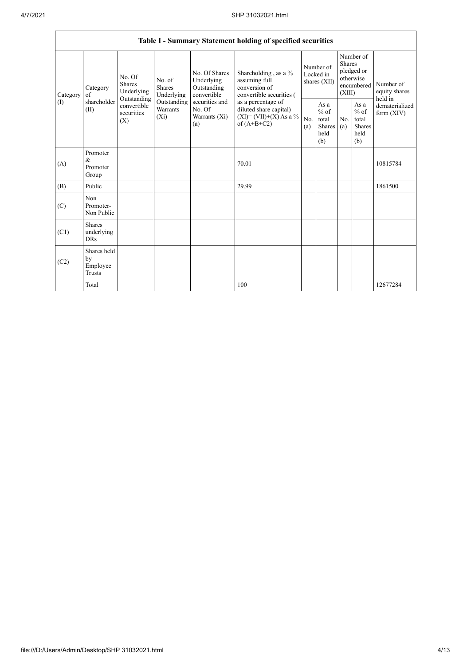| Table I - Summary Statement holding of specified securities |                                                                                                                                                                  |                         |                                                  |                                                                                            |                                                                                    |                                                  |            |                                                                               |                                |                                       |
|-------------------------------------------------------------|------------------------------------------------------------------------------------------------------------------------------------------------------------------|-------------------------|--------------------------------------------------|--------------------------------------------------------------------------------------------|------------------------------------------------------------------------------------|--------------------------------------------------|------------|-------------------------------------------------------------------------------|--------------------------------|---------------------------------------|
| Category<br>$($ I)                                          | No. Of<br>No. of<br>Shares<br>Category<br><b>Shares</b><br>Underlying<br>of<br>Outstanding<br>shareholder<br>convertible<br>(II)<br>securities<br>$(X_i)$<br>(X) |                         | Underlying                                       | No. Of Shares<br>Underlying<br>Outstanding<br>convertible                                  | Shareholding, as a %<br>assuming full<br>conversion of<br>convertible securities ( | Number of<br>Locked in<br>shares (XII)           |            | Number of<br><b>Shares</b><br>pledged or<br>otherwise<br>encumbered<br>(XIII) |                                | Number of<br>equity shares<br>held in |
|                                                             |                                                                                                                                                                  | Outstanding<br>Warrants | securities and<br>No. Of<br>Warrants (Xi)<br>(a) | as a percentage of<br>diluted share capital)<br>$(XI) = (VII)+(X) As a %$<br>of $(A+B+C2)$ | No.<br>(a)                                                                         | As a<br>$%$ of<br>total<br>Shares<br>held<br>(b) | No.<br>(a) | As a<br>$%$ of<br>total<br><b>Shares</b><br>held<br>(b)                       | dematerialized<br>form $(XIV)$ |                                       |
| (A)                                                         | Promoter<br>&<br>Promoter<br>Group                                                                                                                               |                         |                                                  |                                                                                            | 70.01                                                                              |                                                  |            |                                                                               |                                | 10815784                              |
| (B)                                                         | Public                                                                                                                                                           |                         |                                                  |                                                                                            | 29.99                                                                              |                                                  |            |                                                                               |                                | 1861500                               |
| (C)                                                         | Non<br>Promoter-<br>Non Public                                                                                                                                   |                         |                                                  |                                                                                            |                                                                                    |                                                  |            |                                                                               |                                |                                       |
| (C1)                                                        | <b>Shares</b><br>underlying<br><b>DRs</b>                                                                                                                        |                         |                                                  |                                                                                            |                                                                                    |                                                  |            |                                                                               |                                |                                       |
| (C2)                                                        | Shares held<br>by<br>Employee<br>Trusts                                                                                                                          |                         |                                                  |                                                                                            |                                                                                    |                                                  |            |                                                                               |                                |                                       |
|                                                             | Total                                                                                                                                                            |                         |                                                  |                                                                                            | 100                                                                                |                                                  |            |                                                                               |                                | 12677284                              |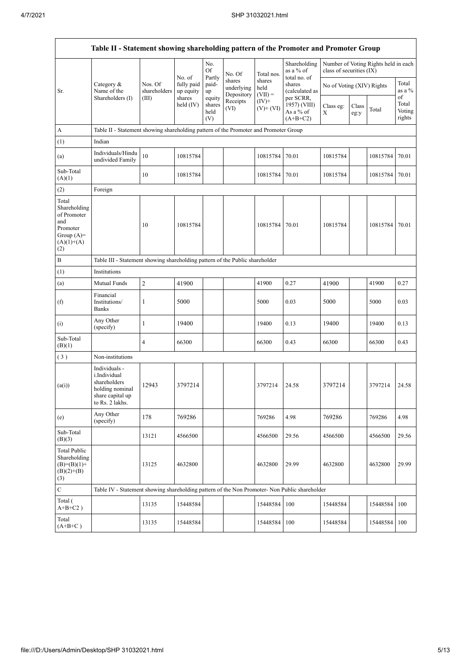$\mathsf{r}$ 

|                                                                                                | Table II - Statement showing shareholding pattern of the Promoter and Promoter Group                    |                                                                              |                                   |                                 |                                    |                             |                                                      |                           |               |                                      |                           |
|------------------------------------------------------------------------------------------------|---------------------------------------------------------------------------------------------------------|------------------------------------------------------------------------------|-----------------------------------|---------------------------------|------------------------------------|-----------------------------|------------------------------------------------------|---------------------------|---------------|--------------------------------------|---------------------------|
|                                                                                                |                                                                                                         |                                                                              | No. of                            | No.<br>Of<br>Partly             | No. Of                             | Total nos.                  | Shareholding<br>as a % of<br>total no. of            | class of securities (IX)  |               | Number of Voting Rights held in each |                           |
| Sr.                                                                                            | Category &<br>Name of the                                                                               | Nos. Of<br>shareholders                                                      | fully paid<br>up equity<br>shares | paid-<br>up                     | shares<br>underlying<br>Depository | shares<br>held<br>$(VII) =$ | shares<br>(calculated as                             | No of Voting (XIV) Rights |               |                                      | Total<br>as a $%$<br>of   |
|                                                                                                | Shareholders (I)                                                                                        | (III)                                                                        | held (IV)                         | equity<br>shares<br>held<br>(V) | Receipts<br>(VI)                   | $(IV)^+$<br>$(V)+(VI)$      | per SCRR,<br>1957) (VIII)<br>As a % of<br>$(A+B+C2)$ | Class eg:<br>X            | Class<br>eg:y | Total                                | Total<br>Voting<br>rights |
| $\boldsymbol{\mathsf{A}}$                                                                      | Table II - Statement showing shareholding pattern of the Promoter and Promoter Group                    |                                                                              |                                   |                                 |                                    |                             |                                                      |                           |               |                                      |                           |
| (1)                                                                                            | Indian                                                                                                  |                                                                              |                                   |                                 |                                    |                             |                                                      |                           |               |                                      |                           |
| (a)                                                                                            | Individuals/Hindu<br>undivided Family                                                                   | 10                                                                           | 10815784                          |                                 |                                    | 10815784                    | 70.01                                                | 10815784                  |               | 10815784                             | 70.01                     |
| Sub-Total<br>(A)(1)                                                                            |                                                                                                         | 10                                                                           | 10815784                          |                                 |                                    | 10815784                    | 70.01                                                | 10815784                  |               | 10815784                             | 70.01                     |
| (2)                                                                                            | Foreign                                                                                                 |                                                                              |                                   |                                 |                                    |                             |                                                      |                           |               |                                      |                           |
| Total<br>Shareholding<br>of Promoter<br>and<br>Promoter<br>Group $(A)=$<br>$(A)(1)+(A)$<br>(2) |                                                                                                         | 10                                                                           | 10815784                          |                                 |                                    | 10815784                    | 70.01                                                | 10815784                  |               | 10815784                             | 70.01                     |
| $\, {\bf B}$                                                                                   |                                                                                                         | Table III - Statement showing shareholding pattern of the Public shareholder |                                   |                                 |                                    |                             |                                                      |                           |               |                                      |                           |
| (1)                                                                                            | Institutions                                                                                            |                                                                              |                                   |                                 |                                    |                             |                                                      |                           |               |                                      |                           |
| (a)                                                                                            | Mutual Funds                                                                                            | $\mathfrak{2}$                                                               | 41900                             |                                 |                                    | 41900                       | 0.27                                                 | 41900                     |               | 41900                                | 0.27                      |
| (f)                                                                                            | Financial<br>Institutions/<br><b>Banks</b>                                                              | 1                                                                            | 5000                              |                                 |                                    | 5000                        | 0.03                                                 | 5000                      |               | 5000                                 | 0.03                      |
| (i)                                                                                            | Any Other<br>(specify)                                                                                  | 1                                                                            | 19400                             |                                 |                                    | 19400                       | 0.13                                                 | 19400                     |               | 19400                                | 0.13                      |
| Sub-Total<br>(B)(1)                                                                            |                                                                                                         | 4                                                                            | 66300                             |                                 |                                    | 66300                       | 0.43                                                 | 66300                     |               | 66300                                | 0.43                      |
| (3)                                                                                            | Non-institutions                                                                                        |                                                                              |                                   |                                 |                                    |                             |                                                      |                           |               |                                      |                           |
| (a(i))                                                                                         | Individuals -<br>i.Individual<br>shareholders<br>holding nominal<br>share capital up<br>to Rs. 2 lakhs. | 12943                                                                        | 3797214                           |                                 |                                    | 3797214                     | 24.58                                                | 3797214                   |               | 3797214                              | 24.58                     |
| (e)                                                                                            | Any Other<br>(specify)                                                                                  | 178                                                                          | 769286                            |                                 |                                    | 769286                      | 4.98                                                 | 769286                    |               | 769286                               | 4.98                      |
| Sub-Total<br>(B)(3)                                                                            |                                                                                                         | 13121                                                                        | 4566500                           |                                 |                                    | 4566500                     | 29.56                                                | 4566500                   |               | 4566500                              | 29.56                     |
| <b>Total Public</b><br>Shareholding<br>$(B)=(B)(1)+$<br>$(B)(2)+(B)$<br>(3)                    |                                                                                                         | 13125                                                                        | 4632800                           |                                 |                                    | 4632800                     | 29.99                                                | 4632800                   |               | 4632800                              | 29.99                     |
| $\overline{C}$                                                                                 | Table IV - Statement showing shareholding pattern of the Non Promoter- Non Public shareholder           |                                                                              |                                   |                                 |                                    |                             |                                                      |                           |               |                                      |                           |
| Total (<br>$\mathrm{A} \text{+} \mathrm{B} \text{+} \mathrm{C2}$ )                             |                                                                                                         | 13135                                                                        | 15448584                          |                                 |                                    | 15448584                    | 100                                                  | 15448584                  |               | 15448584                             | 100                       |
| Total<br>$(A+B+C)$                                                                             |                                                                                                         | 13135                                                                        | 15448584                          |                                 |                                    | 15448584                    | 100                                                  | 15448584                  |               | 15448584                             | 100                       |

 $\overline{\phantom{a}}$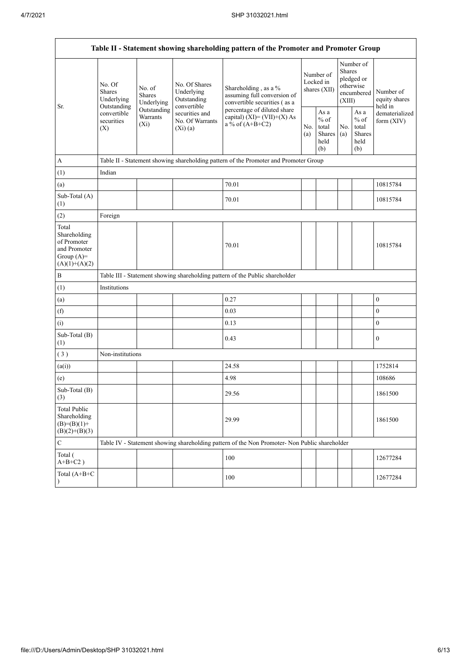|                                                                                         | Table II - Statement showing shareholding pattern of the Promoter and Promoter Group                                                                                    |                                                                                                                |                                                                                     |                                                                                               |                                                             |                                                                               |                                                  |                                       |                  |  |  |
|-----------------------------------------------------------------------------------------|-------------------------------------------------------------------------------------------------------------------------------------------------------------------------|----------------------------------------------------------------------------------------------------------------|-------------------------------------------------------------------------------------|-----------------------------------------------------------------------------------------------|-------------------------------------------------------------|-------------------------------------------------------------------------------|--------------------------------------------------|---------------------------------------|------------------|--|--|
| Sr.                                                                                     | No. Of<br>No. of<br><b>Shares</b><br><b>Shares</b><br>Underlying<br>Underlying<br>Outstanding<br>Outstanding<br>convertible<br>Warrants<br>securities<br>$(X_i)$<br>(X) | No. Of Shares<br>Underlying<br>Outstanding<br>convertible<br>securities and<br>No. Of Warrants<br>$(Xi)$ $(a)$ | Shareholding, as a %<br>assuming full conversion of<br>convertible securities (as a | Number of<br>Locked in<br>shares (XII)                                                        |                                                             | Number of<br><b>Shares</b><br>pledged or<br>otherwise<br>encumbered<br>(XIII) |                                                  | Number of<br>equity shares<br>held in |                  |  |  |
|                                                                                         |                                                                                                                                                                         |                                                                                                                | percentage of diluted share<br>capital) $(XI) = (VII)+(X) As$<br>a % of $(A+B+C2)$  |                                                                                               | As $\mathbf{a}$<br>$%$ of<br>total<br>Shares<br>held<br>(b) | No.<br>(a)                                                                    | As a<br>$%$ of<br>total<br>Shares<br>held<br>(b) | dematerialized<br>form $(XIV)$        |                  |  |  |
| $\boldsymbol{A}$                                                                        |                                                                                                                                                                         |                                                                                                                |                                                                                     | Table II - Statement showing shareholding pattern of the Promoter and Promoter Group          |                                                             |                                                                               |                                                  |                                       |                  |  |  |
| (1)                                                                                     | Indian                                                                                                                                                                  |                                                                                                                |                                                                                     |                                                                                               |                                                             |                                                                               |                                                  |                                       |                  |  |  |
| (a)                                                                                     |                                                                                                                                                                         |                                                                                                                |                                                                                     | 70.01                                                                                         |                                                             |                                                                               |                                                  |                                       | 10815784         |  |  |
| Sub-Total (A)<br>(1)                                                                    |                                                                                                                                                                         |                                                                                                                |                                                                                     | 70.01                                                                                         |                                                             |                                                                               |                                                  |                                       | 10815784         |  |  |
| (2)                                                                                     | Foreign                                                                                                                                                                 |                                                                                                                |                                                                                     |                                                                                               |                                                             |                                                                               |                                                  |                                       |                  |  |  |
| Total<br>Shareholding<br>of Promoter<br>and Promoter<br>Group $(A)=$<br>$(A)(1)+(A)(2)$ |                                                                                                                                                                         |                                                                                                                |                                                                                     | 70.01                                                                                         |                                                             |                                                                               |                                                  |                                       | 10815784         |  |  |
| $\, {\bf B}$                                                                            |                                                                                                                                                                         |                                                                                                                |                                                                                     | Table III - Statement showing shareholding pattern of the Public shareholder                  |                                                             |                                                                               |                                                  |                                       |                  |  |  |
| (1)                                                                                     | Institutions                                                                                                                                                            |                                                                                                                |                                                                                     |                                                                                               |                                                             |                                                                               |                                                  |                                       |                  |  |  |
| (a)                                                                                     |                                                                                                                                                                         |                                                                                                                |                                                                                     | 0.27                                                                                          |                                                             |                                                                               |                                                  |                                       | $\boldsymbol{0}$ |  |  |
| (f)                                                                                     |                                                                                                                                                                         |                                                                                                                |                                                                                     | 0.03                                                                                          |                                                             |                                                                               |                                                  |                                       | $\mathbf{0}$     |  |  |
| (i)                                                                                     |                                                                                                                                                                         |                                                                                                                |                                                                                     | 0.13                                                                                          |                                                             |                                                                               |                                                  |                                       | $\boldsymbol{0}$ |  |  |
| Sub-Total (B)<br>(1)                                                                    |                                                                                                                                                                         |                                                                                                                |                                                                                     | 0.43                                                                                          |                                                             |                                                                               |                                                  |                                       | $\boldsymbol{0}$ |  |  |
| (3)                                                                                     | Non-institutions                                                                                                                                                        |                                                                                                                |                                                                                     |                                                                                               |                                                             |                                                                               |                                                  |                                       |                  |  |  |
| (a(i))                                                                                  |                                                                                                                                                                         |                                                                                                                |                                                                                     | 24.58                                                                                         |                                                             |                                                                               |                                                  |                                       | 1752814          |  |  |
| (e)                                                                                     |                                                                                                                                                                         |                                                                                                                |                                                                                     | 4.98                                                                                          |                                                             |                                                                               |                                                  |                                       | 108686           |  |  |
| Sub-Total (B)<br>(3)                                                                    |                                                                                                                                                                         |                                                                                                                |                                                                                     | 29.56                                                                                         |                                                             |                                                                               |                                                  |                                       | 1861500          |  |  |
| <b>Total Public</b><br>Shareholding<br>$(B)= (B)(1) +$<br>$(B)(2)+(B)(3)$               |                                                                                                                                                                         |                                                                                                                |                                                                                     | 29.99                                                                                         |                                                             |                                                                               |                                                  |                                       | 1861500          |  |  |
| $\mathbf C$                                                                             |                                                                                                                                                                         |                                                                                                                |                                                                                     | Table IV - Statement showing shareholding pattern of the Non Promoter- Non Public shareholder |                                                             |                                                                               |                                                  |                                       |                  |  |  |
| Total (<br>$A+B+C2$ )                                                                   |                                                                                                                                                                         |                                                                                                                |                                                                                     | 100                                                                                           |                                                             |                                                                               |                                                  |                                       | 12677284         |  |  |
| Total (A+B+C                                                                            |                                                                                                                                                                         |                                                                                                                |                                                                                     | 100                                                                                           |                                                             |                                                                               |                                                  |                                       | 12677284         |  |  |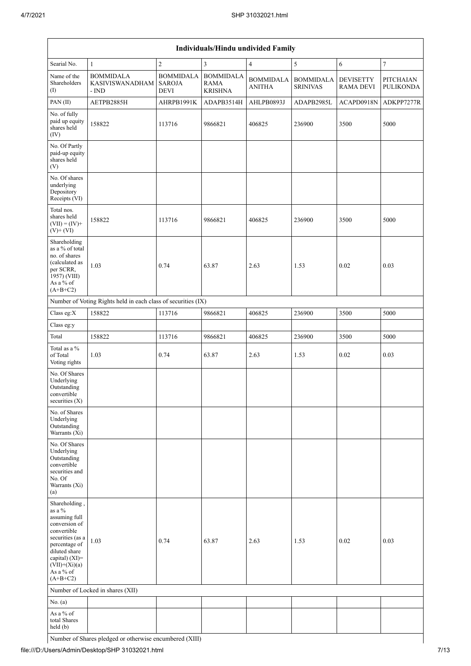|                                                                                                                                                                                                   | Individuals/Hindu undivided Family                            |                                                  |                                                   |                                   |                                     |                                      |                               |  |  |  |  |
|---------------------------------------------------------------------------------------------------------------------------------------------------------------------------------------------------|---------------------------------------------------------------|--------------------------------------------------|---------------------------------------------------|-----------------------------------|-------------------------------------|--------------------------------------|-------------------------------|--|--|--|--|
| Searial No.                                                                                                                                                                                       | $\mathbf{1}$                                                  | $\overline{c}$                                   | $\overline{3}$                                    | $\overline{4}$                    | 5                                   | 6                                    | $\boldsymbol{7}$              |  |  |  |  |
| Name of the<br>Shareholders<br>(1)                                                                                                                                                                | <b>BOMMIDALA</b><br><b>KASIVISWANADHAM</b><br>- IND           | <b>BOMMIDALA</b><br><b>SAROJA</b><br><b>DEVI</b> | <b>BOMMIDALA</b><br><b>RAMA</b><br><b>KRISHNA</b> | <b>BOMMIDALA</b><br><b>ANITHA</b> | <b>BOMMIDALA</b><br><b>SRINIVAS</b> | <b>DEVISETTY</b><br><b>RAMA DEVI</b> | PITCHAIAN<br><b>PULIKONDA</b> |  |  |  |  |
| PAN (II)                                                                                                                                                                                          | AETPB2885H                                                    | AHRPB1991K                                       | ADAPB3514H                                        | AHLPB0893J                        | ADAPB2985L                          | ACAPD0918N                           | ADKPP7277R                    |  |  |  |  |
| No. of fully<br>paid up equity<br>shares held<br>(IV)                                                                                                                                             | 158822                                                        | 113716                                           | 9866821                                           | 406825                            | 236900                              | 3500                                 | 5000                          |  |  |  |  |
| No. Of Partly<br>paid-up equity<br>shares held<br>(V)                                                                                                                                             |                                                               |                                                  |                                                   |                                   |                                     |                                      |                               |  |  |  |  |
| No. Of shares<br>underlying<br>Depository<br>Receipts (VI)                                                                                                                                        |                                                               |                                                  |                                                   |                                   |                                     |                                      |                               |  |  |  |  |
| Total nos.<br>shares held<br>$(VII) = (IV) +$<br>$(V)$ + $(VI)$                                                                                                                                   | 158822                                                        | 113716                                           | 9866821                                           | 406825                            | 236900                              | 3500                                 | 5000                          |  |  |  |  |
| Shareholding<br>as a % of total<br>no. of shares<br>(calculated as<br>per SCRR,<br>1957) (VIII)<br>As a % of<br>$(A+B+C2)$                                                                        | 1.03                                                          | 0.74                                             | 63.87                                             | 2.63                              | 1.53                                | 0.02                                 | 0.03                          |  |  |  |  |
|                                                                                                                                                                                                   | Number of Voting Rights held in each class of securities (IX) |                                                  |                                                   |                                   |                                     |                                      |                               |  |  |  |  |
| Class eg:X                                                                                                                                                                                        | 158822                                                        | 113716                                           | 9866821                                           | 406825                            | 236900                              | 3500                                 | 5000                          |  |  |  |  |
| Class eg:y                                                                                                                                                                                        |                                                               |                                                  |                                                   |                                   |                                     |                                      |                               |  |  |  |  |
| Total                                                                                                                                                                                             | 158822                                                        | 113716                                           | 9866821                                           | 406825                            | 236900                              | 3500                                 | 5000                          |  |  |  |  |
| Total as a %<br>of Total<br>Voting rights                                                                                                                                                         | 1.03                                                          | 0.74                                             | 63.87                                             | 2.63                              | 1.53                                | 0.02                                 | 0.03                          |  |  |  |  |
| No. Of Shares<br>Underlying<br>Outstanding<br>convertible<br>securities $(X)$                                                                                                                     |                                                               |                                                  |                                                   |                                   |                                     |                                      |                               |  |  |  |  |
| No. of Shares<br>Underlying<br>Outstanding<br>Warrants (Xi)                                                                                                                                       |                                                               |                                                  |                                                   |                                   |                                     |                                      |                               |  |  |  |  |
| No. Of Shares<br>Underlying<br>Outstanding<br>convertible<br>securities and<br>No. Of<br>Warrants (Xi)<br>(a)                                                                                     |                                                               |                                                  |                                                   |                                   |                                     |                                      |                               |  |  |  |  |
| Shareholding,<br>as a $\%$<br>assuming full<br>conversion of<br>convertible<br>securities (as a<br>percentage of<br>diluted share<br>capital) (XI)=<br>$(VII)+(Xi)(a)$<br>As a % of<br>$(A+B+C2)$ | 1.03                                                          | 0.74                                             | 63.87                                             | 2.63                              | 1.53                                | 0.02                                 | 0.03                          |  |  |  |  |
|                                                                                                                                                                                                   | Number of Locked in shares (XII)                              |                                                  |                                                   |                                   |                                     |                                      |                               |  |  |  |  |
| No. (a)                                                                                                                                                                                           |                                                               |                                                  |                                                   |                                   |                                     |                                      |                               |  |  |  |  |
| As a % of<br>total Shares<br>held (b)                                                                                                                                                             |                                                               |                                                  |                                                   |                                   |                                     |                                      |                               |  |  |  |  |

Number of Shares pledged or otherwise encumbered (XIII)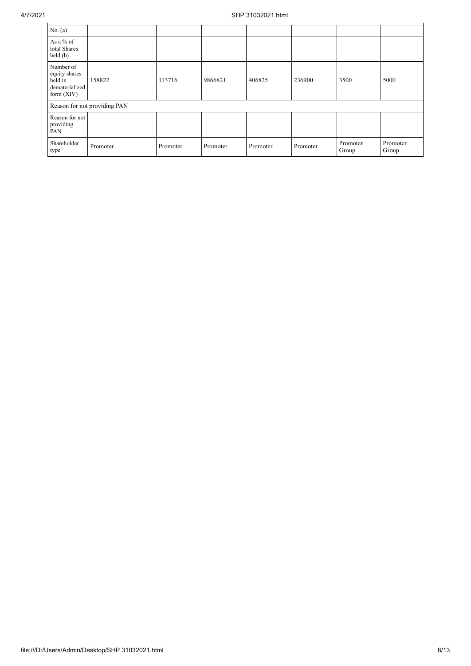| No. (a)                                                                 |                              |          |          |          |          |                   |                   |  |  |
|-------------------------------------------------------------------------|------------------------------|----------|----------|----------|----------|-------------------|-------------------|--|--|
| As a % of<br>total Shares<br>$\text{held}(\text{b})$                    |                              |          |          |          |          |                   |                   |  |  |
| Number of<br>equity shares<br>held in<br>dematerialized<br>form $(XIV)$ | 158822                       | 113716   | 9866821  | 406825   | 236900   | 3500              | 5000              |  |  |
|                                                                         | Reason for not providing PAN |          |          |          |          |                   |                   |  |  |
| Reason for not<br>providing<br>PAN                                      |                              |          |          |          |          |                   |                   |  |  |
| Shareholder<br>type                                                     | Promoter                     | Promoter | Promoter | Promoter | Promoter | Promoter<br>Group | Promoter<br>Group |  |  |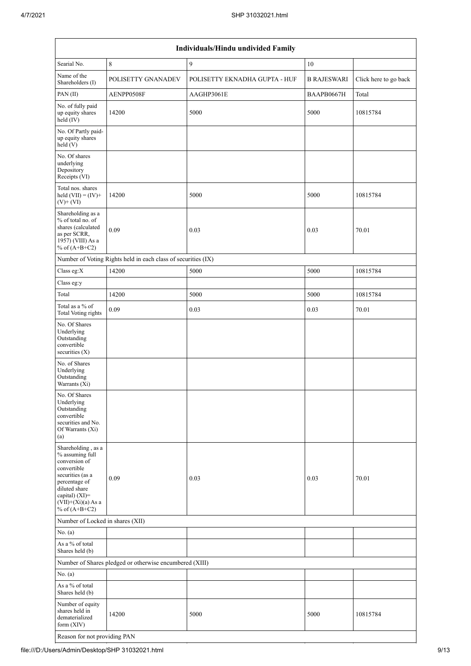| Individuals/Hindu undivided Family                                                                                                                                                       |                                                               |                               |                    |                       |  |  |  |  |  |  |
|------------------------------------------------------------------------------------------------------------------------------------------------------------------------------------------|---------------------------------------------------------------|-------------------------------|--------------------|-----------------------|--|--|--|--|--|--|
| Searial No.                                                                                                                                                                              | 8                                                             | 9                             | 10                 |                       |  |  |  |  |  |  |
| Name of the<br>Shareholders (I)                                                                                                                                                          | POLISETTY GNANADEV                                            | POLISETTY EKNADHA GUPTA - HUF | <b>B RAJESWARI</b> | Click here to go back |  |  |  |  |  |  |
| PAN (II)                                                                                                                                                                                 | AENPP0508F                                                    | AAGHP3061E                    | BAAPB0667H         | Total                 |  |  |  |  |  |  |
| No. of fully paid<br>up equity shares<br>held (IV)                                                                                                                                       | 14200                                                         | 5000                          | 5000               | 10815784              |  |  |  |  |  |  |
| No. Of Partly paid-<br>up equity shares<br>held (V)                                                                                                                                      |                                                               |                               |                    |                       |  |  |  |  |  |  |
| No. Of shares<br>underlying<br>Depository<br>Receipts (VI)                                                                                                                               |                                                               |                               |                    |                       |  |  |  |  |  |  |
| Total nos. shares<br>held $(VII) = (IV) +$<br>$(V)+(VI)$                                                                                                                                 | 14200                                                         | 5000                          | 5000               | 10815784              |  |  |  |  |  |  |
| Shareholding as a<br>% of total no. of<br>shares (calculated<br>as per SCRR,<br>1957) (VIII) As a<br>% of $(A+B+C2)$                                                                     | 0.09                                                          | 0.03                          | 0.03               | 70.01                 |  |  |  |  |  |  |
|                                                                                                                                                                                          | Number of Voting Rights held in each class of securities (IX) |                               |                    |                       |  |  |  |  |  |  |
| Class eg:X                                                                                                                                                                               | 14200                                                         | 5000                          | 5000               | 10815784              |  |  |  |  |  |  |
| Class eg:y                                                                                                                                                                               |                                                               |                               |                    |                       |  |  |  |  |  |  |
| Total                                                                                                                                                                                    | 14200                                                         | 5000                          | 5000               | 10815784              |  |  |  |  |  |  |
| Total as a % of<br><b>Total Voting rights</b>                                                                                                                                            | 0.09                                                          | 0.03                          | 0.03               | 70.01                 |  |  |  |  |  |  |
| No. Of Shares<br>Underlying<br>Outstanding<br>convertible<br>securities $(X)$                                                                                                            |                                                               |                               |                    |                       |  |  |  |  |  |  |
| No. of Shares<br>Underlying<br>Outstanding<br>Warrants (Xi)                                                                                                                              |                                                               |                               |                    |                       |  |  |  |  |  |  |
| No. Of Shares<br>Underlying<br>Outstanding<br>convertible<br>securities and No.<br>Of Warrants (Xi)<br>(a)                                                                               |                                                               |                               |                    |                       |  |  |  |  |  |  |
| Shareholding, as a<br>% assuming full<br>conversion of<br>convertible<br>securities (as a<br>percentage of<br>diluted share<br>capital) (XI)=<br>$(VII)+(Xi)(a)$ As a<br>% of $(A+B+C2)$ | 0.09                                                          | 0.03                          | 0.03               | 70.01                 |  |  |  |  |  |  |
| Number of Locked in shares (XII)                                                                                                                                                         |                                                               |                               |                    |                       |  |  |  |  |  |  |
| No. (a)                                                                                                                                                                                  |                                                               |                               |                    |                       |  |  |  |  |  |  |
| As a % of total<br>Shares held (b)                                                                                                                                                       |                                                               |                               |                    |                       |  |  |  |  |  |  |
|                                                                                                                                                                                          | Number of Shares pledged or otherwise encumbered (XIII)       |                               |                    |                       |  |  |  |  |  |  |
| No. (a)                                                                                                                                                                                  |                                                               |                               |                    |                       |  |  |  |  |  |  |
| As a % of total<br>Shares held (b)                                                                                                                                                       |                                                               |                               |                    |                       |  |  |  |  |  |  |
| Number of equity<br>shares held in<br>dematerialized<br>form (XIV)                                                                                                                       | 14200                                                         | 5000                          | 5000               | 10815784              |  |  |  |  |  |  |

Reason for not providing PAN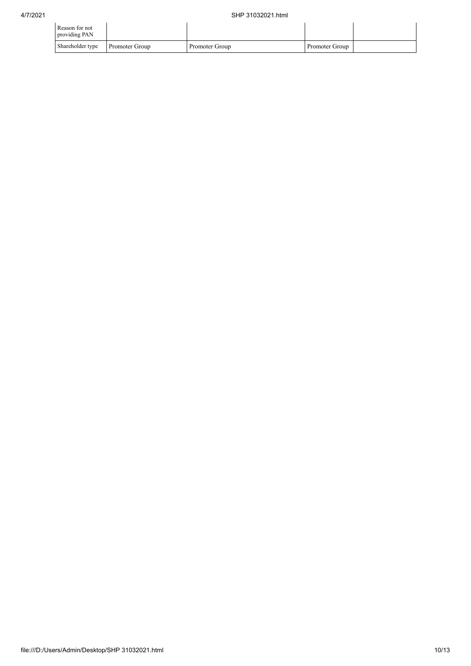| Reason for not<br>providing PAN |                |                |                |  |
|---------------------------------|----------------|----------------|----------------|--|
| Shareholder type                | Promoter Group | Promoter Group | Promoter Group |  |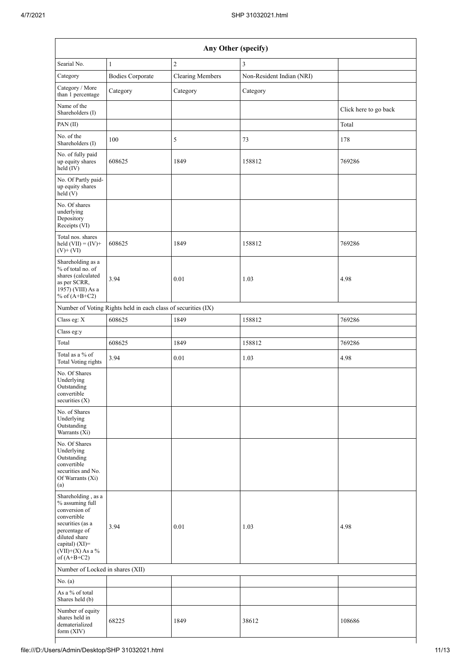|                                                                                                                                                                                      | Any Other (specify)                                           |                         |                           |                       |  |  |  |  |  |  |  |
|--------------------------------------------------------------------------------------------------------------------------------------------------------------------------------------|---------------------------------------------------------------|-------------------------|---------------------------|-----------------------|--|--|--|--|--|--|--|
| Searial No.                                                                                                                                                                          | $\mathbf{1}$                                                  | $\overline{2}$          | 3                         |                       |  |  |  |  |  |  |  |
| Category                                                                                                                                                                             | <b>Bodies Corporate</b>                                       | <b>Clearing Members</b> | Non-Resident Indian (NRI) |                       |  |  |  |  |  |  |  |
| Category / More<br>than 1 percentage                                                                                                                                                 | Category                                                      | Category                | Category                  |                       |  |  |  |  |  |  |  |
| Name of the<br>Shareholders (I)                                                                                                                                                      |                                                               |                         |                           | Click here to go back |  |  |  |  |  |  |  |
| PAN(II)                                                                                                                                                                              |                                                               |                         |                           | Total                 |  |  |  |  |  |  |  |
| No. of the<br>Shareholders (I)                                                                                                                                                       | 100                                                           | 5                       | 73                        | 178                   |  |  |  |  |  |  |  |
| No. of fully paid<br>up equity shares<br>held (IV)                                                                                                                                   | 608625                                                        | 1849                    | 158812                    | 769286                |  |  |  |  |  |  |  |
| No. Of Partly paid-<br>up equity shares<br>held $(V)$                                                                                                                                |                                                               |                         |                           |                       |  |  |  |  |  |  |  |
| No. Of shares<br>underlying<br>Depository<br>Receipts (VI)                                                                                                                           |                                                               |                         |                           |                       |  |  |  |  |  |  |  |
| Total nos. shares<br>held $(VII) = (IV) +$<br>$(V)+(VI)$                                                                                                                             | 608625                                                        | 1849                    | 158812                    | 769286                |  |  |  |  |  |  |  |
| Shareholding as a<br>% of total no. of<br>shares (calculated<br>as per SCRR,<br>1957) (VIII) As a<br>% of $(A+B+C2)$                                                                 | 3.94                                                          | 0.01                    | 1.03                      | 4.98                  |  |  |  |  |  |  |  |
|                                                                                                                                                                                      | Number of Voting Rights held in each class of securities (IX) |                         |                           |                       |  |  |  |  |  |  |  |
| Class eg: X                                                                                                                                                                          | 608625                                                        | 1849                    | 158812                    | 769286                |  |  |  |  |  |  |  |
| Class eg:y                                                                                                                                                                           |                                                               |                         |                           |                       |  |  |  |  |  |  |  |
| Total                                                                                                                                                                                | 608625                                                        | 1849                    | 158812                    | 769286                |  |  |  |  |  |  |  |
| Total as a % of<br>Total Voting rights                                                                                                                                               | 3.94                                                          | $0.01\,$                | 1.03                      | 4.98                  |  |  |  |  |  |  |  |
| No. Of Shares<br>Underlying<br>Outstanding<br>convertible<br>securities (X)                                                                                                          |                                                               |                         |                           |                       |  |  |  |  |  |  |  |
| No. of Shares<br>Underlying<br>Outstanding<br>Warrants (Xi)                                                                                                                          |                                                               |                         |                           |                       |  |  |  |  |  |  |  |
| No. Of Shares<br>Underlying<br>Outstanding<br>convertible<br>securities and No.<br>Of Warrants (Xi)<br>(a)                                                                           |                                                               |                         |                           |                       |  |  |  |  |  |  |  |
| Shareholding, as a<br>% assuming full<br>conversion of<br>convertible<br>securities (as a<br>percentage of<br>diluted share<br>capital) (XI)=<br>$(VII)+(X)$ As a %<br>of $(A+B+C2)$ | 3.94                                                          | 0.01                    | 1.03                      | 4.98                  |  |  |  |  |  |  |  |
| Number of Locked in shares (XII)                                                                                                                                                     |                                                               |                         |                           |                       |  |  |  |  |  |  |  |
| No. (a)                                                                                                                                                                              |                                                               |                         |                           |                       |  |  |  |  |  |  |  |
| As a % of total<br>Shares held (b)                                                                                                                                                   |                                                               |                         |                           |                       |  |  |  |  |  |  |  |
| Number of equity<br>shares held in<br>dematerialized<br>form (XIV)                                                                                                                   | 68225                                                         | 1849                    | 38612                     | 108686                |  |  |  |  |  |  |  |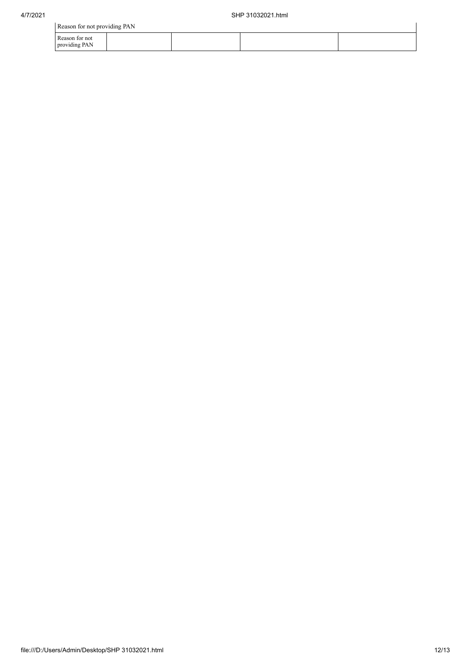| Reason for not providing PAN    |  |  |  |  |  |  |  |
|---------------------------------|--|--|--|--|--|--|--|
| Reason for not<br>providing PAN |  |  |  |  |  |  |  |